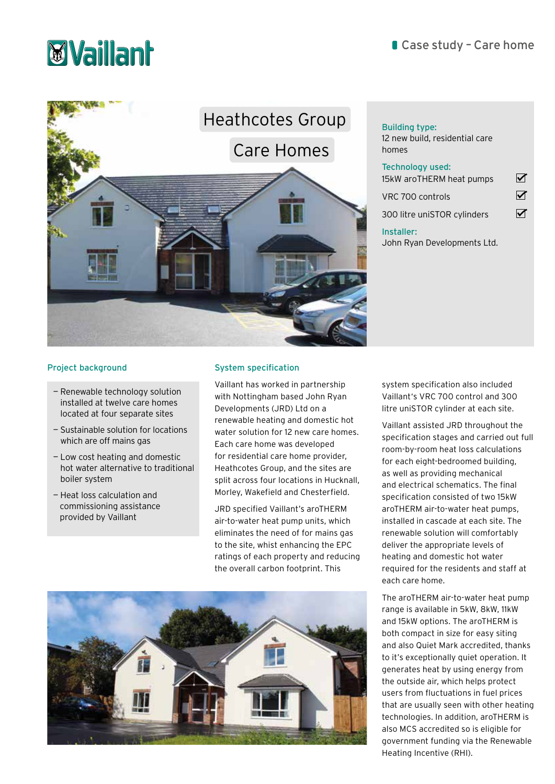# **Myaillanh**



## 12 new build, residential care

homes Technology used: 15kW aroTHERM heat pumps VRC 700 controls

 $\blacktriangledown$  $\overline{\mathbf{M}}$ 

 $\overline{\mathbf{v}}$ 300 litre uniSTOR cylinders

### Installer:

John Ryan Developments Ltd.

### Project background

- Renewable technology solution installed at twelve care homes located at four separate sites
- Sustainable solution for locations which are off mains gas
- Low cost heating and domestic hot water alternative to traditional boiler system
- Heat loss calculation and commissioning assistance provided by Vaillant

### System specification

Vaillant has worked in partnership with Nottingham based John Ryan Developments (JRD) Ltd on a renewable heating and domestic hot water solution for 12 new care homes. Each care home was developed for residential care home provider, Heathcotes Group, and the sites are split across four locations in Hucknall, Morley, Wakefield and Chesterfield.

JRD specified Vaillant's aroTHERM air-to-water heat pump units, which eliminates the need of for mains gas to the site, whist enhancing the EPC ratings of each property and reducing the overall carbon footprint. This



system specification also included Vaillant's VRC 700 control and 300 litre uniSTOR cylinder at each site.

Vaillant assisted JRD throughout the specification stages and carried out full room-by-room heat loss calculations for each eight-bedroomed building, as well as providing mechanical and electrical schematics. The final specification consisted of two 15kW aroTHERM air-to-water heat pumps, installed in cascade at each site. The renewable solution will comfortably deliver the appropriate levels of heating and domestic hot water required for the residents and staff at each care home.

The aroTHERM air-to-water heat pump range is available in 5kW, 8kW, 11kW and 15kW options. The aroTHERM is both compact in size for easy siting and also Quiet Mark accredited, thanks to it's exceptionally quiet operation. It generates heat by using energy from the outside air, which helps protect users from fluctuations in fuel prices that are usually seen with other heating technologies. In addition, aroTHERM is also MCS accredited so is eligible for government funding via the Renewable Heating Incentive (RHI).